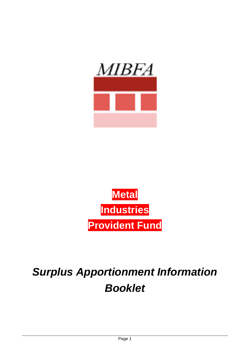



# *Surplus Apportionment Information Booklet*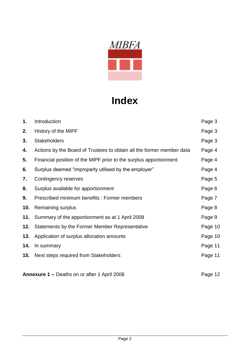

## **Index**

| 1.  | Introduction                                                          | Page 3  |
|-----|-----------------------------------------------------------------------|---------|
| 2.  | History of the MIPF                                                   | Page 3  |
| 3.  | <b>Stakeholders</b>                                                   | Page 3  |
| 4.  | Actions by the Board of Trustees to obtain all the former member data | Page 4  |
| 5.  | Financial position of the MIPF prior to the surplus apportionment     | Page 4  |
| 6.  | Surplus deemed "improperly utilised by the employer"                  | Page 4  |
| 7.  | Contingency reserves                                                  | Page 5  |
| 8.  | Surplus available for apportionment                                   | Page 6  |
| 9.  | Prescribed minimum benefits: Former members                           | Page 7  |
| 10. | Remaining surplus                                                     | Page 8  |
| 11. | Summary of the apportionment as at 1 April 2008                       | Page 9  |
| 12. | Statements by the Former Member Representative                        | Page 10 |
| 13. | Application of surplus allocation amounts                             | Page 10 |
| 14. | In summary                                                            | Page 11 |
| 15. | Next steps required from Stakeholders                                 | Page 11 |
|     |                                                                       |         |

**Annexure 1 –** Deaths on or after 1 April 2008 **Page 12** Page 12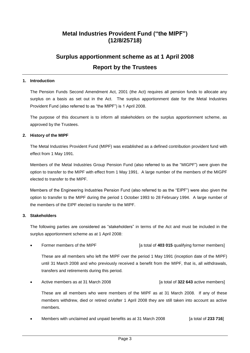## **Metal Industries Provident Fund ("the MIPF") (12/8/25718)**

## **Surplus apportionment scheme as at 1 April 2008 Report by the Trustees**

#### **1. Introduction**

The Pension Funds Second Amendment Act, 2001 (the Act) requires all pension funds to allocate any surplus on a basis as set out in the Act. The surplus apportionment date for the Metal Industries Provident Fund (also referred to as "the MIPF") is 1 April 2008.

The purpose of this document is to inform all stakeholders on the surplus apportionment scheme, as approved by the Trustees.

#### **2. History of the MIPF**

The Metal Industries Provident Fund (MIPF) was established as a defined contribution provident fund with effect from 1 May 1991.

Members of the Metal Industries Group Pension Fund (also referred to as the "MIGPF") were given the option to transfer to the MIPF with effect from 1 May 1991. A large number of the members of the MIGPF elected to transfer to the MIPF.

Members of the Engineering Industries Pension Fund (also referred to as the "EIPF") were also given the option to transfer to the MIPF during the period 1 October 1993 to 28 February 1994. A large number of the members of the EIPF elected to transfer to the MIPF.

#### **3. Stakeholders**

The following parties are considered as "stakeholders" in terms of the Act and must be included in the surplus apportionment scheme as at 1 April 2008:

Former members of the MIPF **[a total of 403 015** qualifying former members]

These are all members who left the MIPF over the period 1 May 1991 (inception date of the MIPF) until 31 March 2008 and who previously received a benefit from the MIPF, that is, all withdrawals, transfers and retirements during this period.

Active members as at 31 March 2008 [a total of **322 643** active members]

These are all members who were members of the MIPF as at 31 March 2008. If any of these members withdrew, died or retired on/after 1 April 2008 they are still taken into account as active members.

Members with unclaimed and unpaid benefits as at 31 March 2008 [a total of 233 716]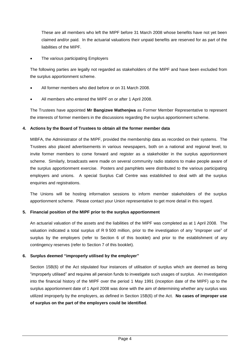These are all members who left the MIPF before 31 March 2008 whose benefits have not yet been claimed and/or paid. In the actuarial valuations their unpaid benefits are reserved for as part of the liabilities of the MIPF.

The various participating Employers

The following parties are legally not regarded as stakeholders of the MIPF and have been excluded from the surplus apportionment scheme.

- All former members who died before or on 31 March 2008.
- All members who entered the MIPF on or after 1 April 2008.

The Trustees have appointed **Mr Bangizwe Mathenjwa** as Former Member Representative to represent the interests of former members in the discussions regarding the surplus apportionment scheme.

#### **4. Actions by the Board of Trustees to obtain all the former member data**

MIBFA, the Administrator of the MIPF, provided the membership data as recorded on their systems. The Trustees also placed advertisements in various newspapers, both on a national and regional level, to invite former members to come forward and register as a stakeholder in the surplus apportionment scheme. Similarly, broadcasts were made on several community radio stations to make people aware of the surplus apportionment exercise. Posters and pamphlets were distributed to the various participating employers and unions. A special Surplus Call Centre was established to deal with all the surplus enquiries and registrations.

The Unions will be hosting information sessions to inform member stakeholders of the surplus apportionment scheme. Please contact your Union representative to get more detail in this regard.

#### **5. Financial position of the MIPF prior to the surplus apportionment**

An actuarial valuation of the assets and the liabilities of the MIPF was completed as at 1 April 2008. The valuation indicated a total surplus of R 9 500 million, prior to the investigation of any "improper use" of surplus by the employers (refer to Section 6 of this booklet) and prior to the establishment of any contingency reserves (refer to Section 7 of this booklet).

#### **6. Surplus deemed "improperly utilised by the employer"**

Section 15B(6) of the Act stipulated four instances of utilisation of surplus which are deemed as being "improperly utilised" and requires all pension funds to investigate such usages of surplus. An investigation into the financial history of the MIPF over the period 1 May 1991 (inception date of the MIPF) up to the surplus apportionment date of 1 April 2008 was done with the aim of determining whether any surplus was utilized improperly by the employers, as defined in Section 15B(6) of the Act. **No cases of improper use of surplus on the part of the employers could be identified**.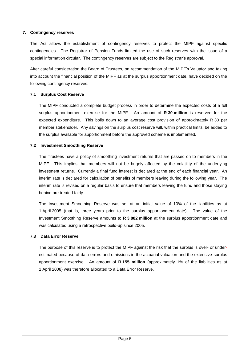#### **7. Contingency reserves**

The Act allows the establishment of contingency reserves to protect the MIPF against specific contingencies. The Registrar of Pension Funds limited the use of such reserves with the issue of a special information circular. The contingency reserves are subject to the Registrar's approval.

After careful consideration the Board of Trustees, on recommendation of the MIPF's Valuator and taking into account the financial position of the MIPF as at the surplus apportionment date, have decided on the following contingency reserves:

#### **7.1 Surplus Cost Reserve**

The MIPF conducted a complete budget process in order to determine the expected costs of a full surplus apportionment exercise for the MIPF. An amount of **R 30 million** is reserved for the expected expenditure. This boils down to an average cost provision of approximately R 30 per member stakeholder. Any savings on the surplus cost reserve will, within practical limits, be added to the surplus available for apportionment before the approved scheme is implemented.

#### **7.2 Investment Smoothing Reserve**

The Trustees have a policy of smoothing investment returns that are passed on to members in the MIPF. This implies that members will not be hugely affected by the volatility of the underlying investment returns. Currently a final fund interest is declared at the end of each financial year. An interim rate is declared for calculation of benefits of members leaving during the following year. The interim rate is revised on a regular basis to ensure that members leaving the fund and those staying behind are treated fairly.

The Investment Smoothing Reserve was set at an initial value of 10% of the liabilities as at 1 April 2005 (that is, three years prior to the surplus apportionment date). The value of the Investment Smoothing Reserve amounts to **R 3 882 million** at the surplus apportionment date and was calculated using a retrospective build-up since 2005.

#### **7.3 Data Error Reserve**

The purpose of this reserve is to protect the MIPF against the risk that the surplus is over- or underestimated because of data errors and omissions in the actuarial valuation and the extensive surplus apportionment exercise. An amount of **R 155 million** (approximately 1% of the liabilities as at 1 April 2008) was therefore allocated to a Data Error Reserve.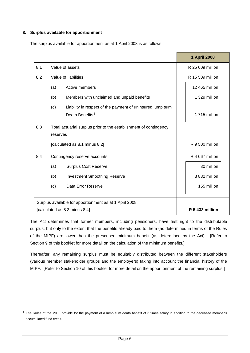#### **8. Surplus available for apportionment**

-

The surplus available for apportionment as at 1 April 2008 is as follows:

|                                                        |                                                                               |                                                                                          | 1 April 2008     |  |
|--------------------------------------------------------|-------------------------------------------------------------------------------|------------------------------------------------------------------------------------------|------------------|--|
| 8.1                                                    | Value of assets                                                               |                                                                                          | R 25 009 million |  |
| 8.2                                                    | Value of liabilities                                                          |                                                                                          | R 15 509 million |  |
|                                                        | (a)                                                                           | Active members                                                                           | 12 465 million   |  |
|                                                        | (b)                                                                           | Members with unclaimed and unpaid benefits                                               | 1 329 million    |  |
|                                                        | (c)                                                                           | Liability in respect of the payment of uninsured lump sum<br>Death Benefits <sup>1</sup> | 1715 million     |  |
| 8.3                                                    | Total actuarial surplus prior to the establishment of contingency<br>reserves |                                                                                          |                  |  |
|                                                        |                                                                               | [calculated as 8.1 minus 8.2]                                                            | R 9 500 million  |  |
| 8.4                                                    | Contingency reserve accounts                                                  |                                                                                          | R 4 067 million  |  |
|                                                        | (a)                                                                           | <b>Surplus Cost Reserve</b>                                                              | 30 million       |  |
|                                                        | (b)                                                                           | <b>Investment Smoothing Reserve</b>                                                      | 3882 million     |  |
|                                                        | (c)                                                                           | Data Error Reserve                                                                       | 155 million      |  |
|                                                        |                                                                               |                                                                                          |                  |  |
| Surplus available for apportionment as at 1 April 2008 |                                                                               |                                                                                          |                  |  |
| [calculated as 8.3 minus 8.4]                          |                                                                               |                                                                                          | R 5 433 million  |  |

The Act determines that former members, including pensioners, have first right to the distributable surplus, but only to the extent that the benefits already paid to them (as determined in terms of the Rules of the MIPF) are lower than the prescribed minimum benefit (as determined by the Act). [Refer to Section 9 of this booklet for more detail on the calculation of the minimum benefits.]

Thereafter, any remaining surplus must be equitably distributed between the different stakeholders (various member stakeholder groups and the employers) taking into account the financial history of the MIPF. [Refer to Section 10 of this booklet for more detail on the apportionment of the remaining surplus.]

 $1$  The Rules of the MIPF provide for the payment of a lump sum death benefit of 3 times salary in addition to the deceased member's accumulated fund credit.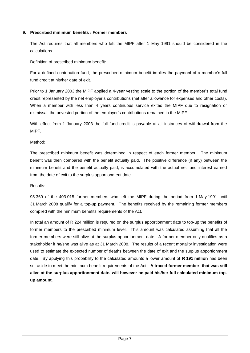#### **9. Prescribed minimum benefits : Former members**

The Act requires that all members who left the MIPF after 1 May 1991 should be considered in the calculations.

#### Definition of prescribed minimum benefit:

For a defined contribution fund, the prescribed minimum benefit implies the payment of a member's full fund credit at his/her date of exit.

Prior to 1 January 2003 the MIPF applied a 4-year vesting scale to the portion of the member's total fund credit represented by the net employer's contributions (net after allowance for expenses and other costs). When a member with less than 4 years continuous service exited the MIPF due to resignation or dismissal, the unvested portion of the employer's contributions remained in the MIPF.

With effect from 1 January 2003 the full fund credit is payable at all instances of withdrawal from the MIPF.

#### Method:

The prescribed minimum benefit was determined in respect of each former member. The minimum benefit was then compared with the benefit actually paid. The positive difference (if any) between the minimum benefit and the benefit actually paid, is accumulated with the actual net fund interest earned from the date of exit to the surplus apportionment date.

#### Results:

95 369 of the 403 015 former members who left the MIPF during the period from 1 May 1991 until 31 March 2008 qualify for a top-up payment. The benefits received by the remaining former members complied with the minimum benefits requirements of the Act.

In total an amount of R 224 million is required on the surplus apportionment date to top-up the benefits of former members to the prescribed minimum level. This amount was calculated assuming that all the former members were still alive at the surplus apportionment date. A former member only qualifies as a stakeholder if he/she was alive as at 31 March 2008. The results of a recent mortality investigation were used to estimate the expected number of deaths between the date of exit and the surplus apportionment date. By applying this probability to the calculated amounts a lower amount of **R 191 million** has been set aside to meet the minimum benefit requirements of the Act. **A traced former member, that was still alive at the surplus apportionment date, will however be paid his/her full calculated minimum topup amount**.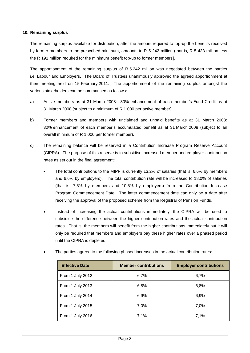#### **10. Remaining surplus**

The remaining surplus available for distribution, after the amount required to top-up the benefits received by former members to the prescribed minimum, amounts to R 5 242 million (that is, R 5 433 million less the R 191 million required for the minimum benefit top-up to former members].

The apportionment of the remaining surplus of R 5 242 million was negotiated between the parties i.e. Labour and Employers. The Board of Trustees unanimously approved the agreed apportionment at their meeting held on 15 February 2011. The apportionment of the remaining surplus amongst the various stakeholders can be summarised as follows:

- a) Active members as at 31 March 2008: 30% enhancement of each member's Fund Credit as at 31 March 2008 (subject to a minimum of R 1 000 per active member).
- b) Former members and members with unclaimed and unpaid benefits as at 31 March 2008: 30% enhancement of each member's accumulated benefit as at 31 March 2008 (subject to an overall minimum of R 1 000 per former member).
- c) The remaining balance will be reserved in a Contribution Increase Program Reserve Account (CIPRA). The purpose of this reserve is to subsidise increased member and employer contribution rates as set out in the final agreement:
	- The total contributions to the MIPF is currently 13,2% of salaries (that is, 6,6% by members and 6,6% by employers). The total contribution rate will be increased to 18,0% of salaries (that is, 7,5% by members and 10,5% by employers) from the Contribution Increase Program Commencement Date. The latter commencement date can only be a date after receiving the approval of the proposed scheme from the Registrar of Pension Funds.
	- Instead of increasing the actual contributions immediately, the CIPRA will be used to subsidise the difference between the higher contribution rates and the actual contribution rates. That is, the members will benefit from the higher contributions immediately but it will only be required that members and employers pay these higher rates over a phased period until the CIPRA is depleted.

| <b>Effective Date</b> | <b>Member contributions</b> | <b>Employer contributions</b> |  |
|-----------------------|-----------------------------|-------------------------------|--|
| From 1 July 2012      | 6,7%                        | 6,7%                          |  |
| From 1 July 2013      | 6,8%                        | 6,8%                          |  |
| From 1 July 2014      | 6,9%                        | 6,9%                          |  |
| From 1 July 2015      | 7,0%                        | 7,0%                          |  |
| From 1 July 2016      | 7,1%                        | 7,1%                          |  |

The parties agreed to the following phased increases in the actual contribution rates: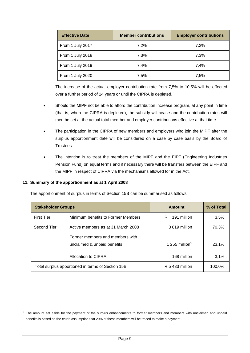| <b>Effective Date</b> | <b>Member contributions</b> | <b>Employer contributions</b> |
|-----------------------|-----------------------------|-------------------------------|
| From 1 July 2017      | 7.2%                        | 7,2%                          |
| From 1 July 2018      | 7,3%                        | 7,3%                          |
| From 1 July 2019      | 7,4%                        | 7,4%                          |
| From 1 July 2020      | 7,5%                        | 7,5%                          |

The increase of the actual employer contribution rate from 7,5% to 10,5% will be effected over a further period of 14 years or until the CIPRA is depleted.

- Should the MIPF not be able to afford the contribution increase program, at any point in time (that is, when the CIPRA is depleted), the subsidy will cease and the contribution rates will then be set at the actual total member and employer contributions effective at that time.
- The participation in the CIPRA of new members and employers who join the MIPF after the surplus apportionment date will be considered on a case by case basis by the Board of Trustees.
- The intention is to treat the members of the MIPF and the EIPF (Engineering Industries Pension Fund) on equal terms and if necessary there will be transfers between the EIPF and the MIPF in respect of CIPRA via the mechanisms allowed for in the Act.

#### **11. Summary of the apportionment as at 1 April 2008**

-

The apportionment of surplus in terms of Section 15B can be summarised as follows:

| <b>Stakeholder Groups</b>                          |                                                                | Amount                     | % of Total |
|----------------------------------------------------|----------------------------------------------------------------|----------------------------|------------|
| First Tier:                                        | Minimum benefits to Former Members                             | 191 million<br>R           | 3,5%       |
| Second Tier:<br>Active members as at 31 March 2008 |                                                                | 3819 million               | 70,3%      |
|                                                    | Former members and members with<br>unclaimed & unpaid benefits | 1 255 million <sup>2</sup> | 23,1%      |
|                                                    | Allocation to CIPRA                                            | 168 million                | 3,1%       |
| Total surplus apportioned in terms of Section 15B  |                                                                | R 5 433 million            | 100,0%     |

 $2$  The amount set aside for the payment of the surplus enhancements to former members and members with unclaimed and unpaid benefits is based on the crude assumption that 20% of these members will be traced to make a payment.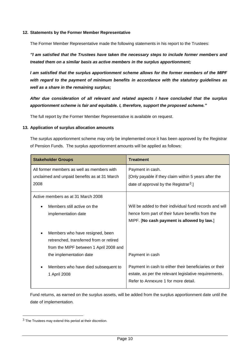#### **12. Statements by the Former Member Representative**

The Former Member Representative made the following statements in his report to the Trustees:

*"I am satisfied that the Trustees have taken the necessary steps to include former members and treated them on a similar basis as active members in the surplus apportionment;*

*I am satisfied that the surplus apportionment scheme allows for the former members of the MIPF with regard to the payment of minimum benefits in accordance with the statutory guidelines as well as a share in the remaining surplus;*

*After due consideration of all relevant and related aspects I have concluded that the surplus apportionment scheme is fair and equitable. I, therefore, support the proposed scheme."*

The full report by the Former Member Representative is available on request.

#### **13. Application of surplus allocation amounts**

The surplus apportionment scheme may only be implemented once it has been approved by the Registrar of Pension Funds. The surplus apportionment amounts will be applied as follows:

| <b>Stakeholder Groups</b>                                                                          | <b>Treatment</b>                                                                                                              |  |
|----------------------------------------------------------------------------------------------------|-------------------------------------------------------------------------------------------------------------------------------|--|
| All former members as well as members with<br>unclaimed and unpaid benefits as at 31 March<br>2008 | Payment in cash.<br>[Only payable if they claim within 5 years after the<br>date of approval by the Registrar <sup>3</sup> .] |  |
| Active members as at 31 March 2008                                                                 |                                                                                                                               |  |
| Members still active on the                                                                        | Will be added to their individual fund records and will                                                                       |  |
| implementation date                                                                                | hence form part of their future benefits from the                                                                             |  |
|                                                                                                    | MIPF. [No cash payment is allowed by law.]                                                                                    |  |
| Members who have resigned, been                                                                    |                                                                                                                               |  |
| retrenched, transferred from or retired                                                            |                                                                                                                               |  |
| from the MIPF between 1 April 2008 and                                                             |                                                                                                                               |  |
| the implementation date                                                                            | Payment in cash                                                                                                               |  |
| Members who have died subsequent to                                                                | Payment in cash to either their beneficiaries or their                                                                        |  |
| 1 April 2008                                                                                       | estate, as per the relevant legislative requirements.                                                                         |  |
|                                                                                                    | Refer to Annexure 1 for more detail.                                                                                          |  |

Fund returns, as earned on the surplus assets, will be added from the surplus apportionment date until the date of implementation.

-

 $3$  The Trustees may extend this period at their discretion.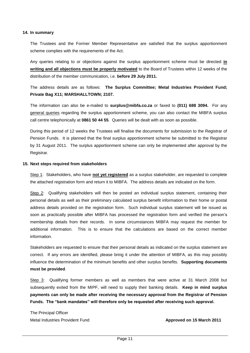#### **14. In summary**

The Trustees and the Former Member Representative are satisfied that the surplus apportionment scheme complies with the requirements of the Act.

Any queries relating to or objections against the surplus apportionment scheme must be directed **in writing and all objections must be properly motivated** to the Board of Trustees within 12 weeks of the distribution of the member communication, i.e. **before 29 July 2011.**

The address details are as follows: **The Surplus Committee; Metal Industries Provident Fund; Private Bag X11; MARSHALLTOWN; 2107.**

The information can also be e-mailed to **surplus@mibfa.co.za** or faxed to **(011) 688 3094.** For any general queries regarding the surplus apportionment scheme, you can also contact the MIBFA surplus call centre telephonically at **0861 50 44 55**. Queries will be dealt with as soon as possible.

During this period of 12 weeks the Trustees will finalise the documents for submission to the Registrar of Pension Funds. It is planned that the final surplus apportionment scheme be submitted to the Registrar by 31 August 2011. The surplus apportionment scheme can only be implemented after approval by the Registrar.

#### **15. Next steps required from stakeholders**

Step 1: Stakeholders, who have **not yet registered** as a surplus stakeholder, are requested to complete the attached registration form and return it to MIBFA. The address details are indicated on the form.

Step 2: Qualifying stakeholders will then be posted an individual surplus statement, containing their personal details as well as their preliminary calculated surplus benefit information to their home or postal address details provided on the registration form. Such individual surplus statement will be issued as soon as practically possible after MIBFA has processed the registration form and verified the person's membership details from their records. In some circumstances MIBFA may request the member for additional information. This is to ensure that the calculations are based on the correct member information.

Stakeholders are requested to ensure that their personal details as indicated on the surplus statement are correct. If any errors are identified, please bring it under the attention of MIBFA, as this may possibly influence the determination of the minimum benefits and other surplus benefits. **Supporting documents must be provided**.

Step 3: Qualifying former members as well as members that were active at 31 March 2008 but subsequently exited from the MIPF, will need to supply their banking details. **Keep in mind surplus payments can only be made after receiving the necessary approval from the Registrar of Pension Funds. The "bank mandates" will therefore only be requested after receiving such approval.**

The Principal Officer Metal Industries Provident Fund **Approved on 15 March 2011**